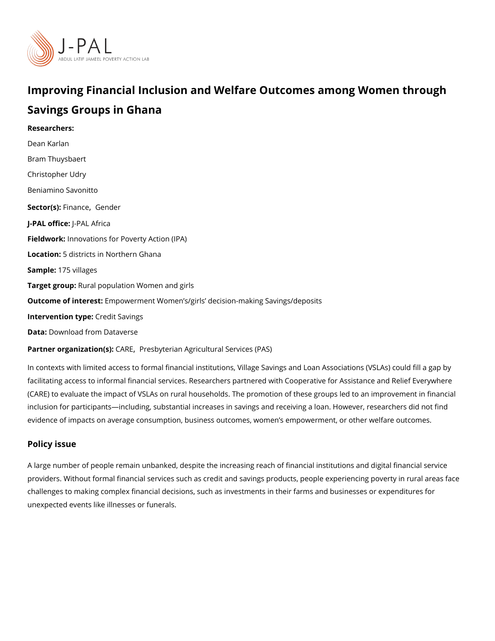# Improving Financial Inclusion and Welfare Outcomes among Savings Groups in Ghana

Researchers: [Dean Ka](https://www.povertyactionlab.org/person/karlan)rlan Bram Thuysbaert [Christopher](https://www.povertyactionlab.org/person/udry) Udry Beniamino Savonitto Sector(Fsi)n an[,](https://www.povertyactionlab.org/sector/finance) c@ender J-PAL offlicReAL Africa Fieldworkhnovations for Poverty Action (IPA) Locatio 5: districts in Northern Ghana Sample: 75 villages Target gro@pral population Women and girls Outcome of inte Ementowerment Women s/girls decision-making Savings/deposits Intervention  $t$ Cpedit Savings Data[Download from Da](https://dx.doi.org/10.7910/DVN/EJTYHC)taverse

Partner organizatCoArR(EP)resbyterian Agricultural Services (PAS)

In contexts with limited access to formal financial institutions, Village Savings and Loan facilitating access to informal financial services. Researchers partnered with Cooperative (CARE) to evaluate the impact of VSLAs on rural households. The promotion of these grou inclusion for participants including, substantial increases in savings and receiving a loan evidence of impacts on average consumption, business outcomes, women s empowerment,

#### Policy issue

A large number of people remain unbanked, despite the increasing reach of financial insti providers. Without formal financial services such as credit and savings products, people  $\epsilon$ challenges to making complex financial decisions, such as investments in their farms and unexpected events like illnesses or funerals.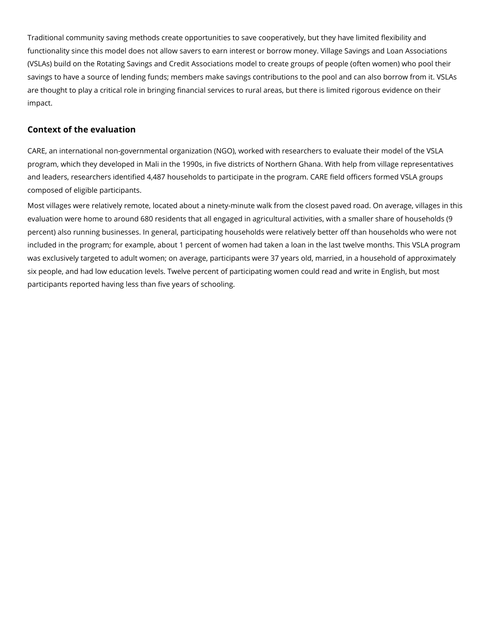Traditional community saving methods create opportunities to save cooperatively, but they have limited flexibility and functionality since this model does not allow savers to earn interest or borrow money. Village Savings and Loan Associations (VSLAs) build on the Rotating Savings and Credit Associations model to create groups of people (often women) who pool their savings to have a source of lending funds; members make savings contributions to the pool and can also borrow from it. VSLAs are thought to play a critical role in bringing financial services to rural areas, but there is limited rigorous evidence on their impact.

## **Context of the evaluation**

CARE, an international non-governmental organization (NGO), worked with researchers to evaluate their model of the VSLA program, which they developed in Mali in the 1990s, in five districts of Northern Ghana. With help from village representatives and leaders, researchers identified 4,487 households to participate in the program. CARE field officers formed VSLA groups composed of eligible participants.

Most villages were relatively remote, located about a ninety-minute walk from the closest paved road. On average, villages in this evaluation were home to around 680 residents that all engaged in agricultural activities, with a smaller share of households (9 percent) also running businesses. In general, participating households were relatively better off than households who were not included in the program; for example, about 1 percent of women had taken a loan in the last twelve months. This VSLA program was exclusively targeted to adult women; on average, participants were 37 years old, married, in a household of approximately six people, and had low education levels. Twelve percent of participating women could read and write in English, but most participants reported having less than five years of schooling.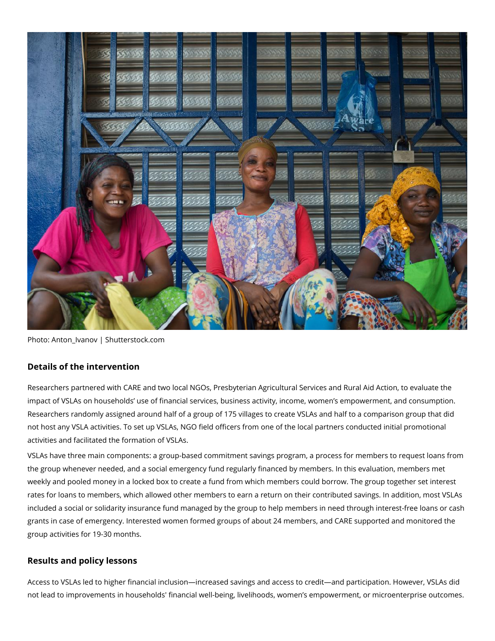

Photo: Anton\_Ivanov | Shutterstock.com

### **Details of the intervention**

Researchers partnered with CARE and two local NGOs, Presbyterian Agricultural Services and Rural Aid Action, to evaluate the impact of VSLAs on households' use of financial services, business activity, income, women's empowerment, and consumption. Researchers randomly assigned around half of a group of 175 villages to create VSLAs and half to a comparison group that did not host any VSLA activities. To set up VSLAs, NGO field officers from one of the local partners conducted initial promotional activities and facilitated the formation of VSLAs.

VSLAs have three main components: a group-based commitment savings program, a process for members to request loans from the group whenever needed, and a social emergency fund regularly financed by members. In this evaluation, members met weekly and pooled money in a locked box to create a fund from which members could borrow. The group together set interest rates for loans to members, which allowed other members to earn a return on their contributed savings. In addition, most VSLAs included a social or solidarity insurance fund managed by the group to help members in need through interest-free loans or cash grants in case of emergency. Interested women formed groups of about 24 members, and CARE supported and monitored the group activities for 19-30 months.

## **Results and policy lessons**

Access to VSLAs led to higher financial inclusion—increased savings and access to credit—and participation. However, VSLAs did not lead to improvements in households' financial well-being, livelihoods, women's empowerment, or microenterprise outcomes.